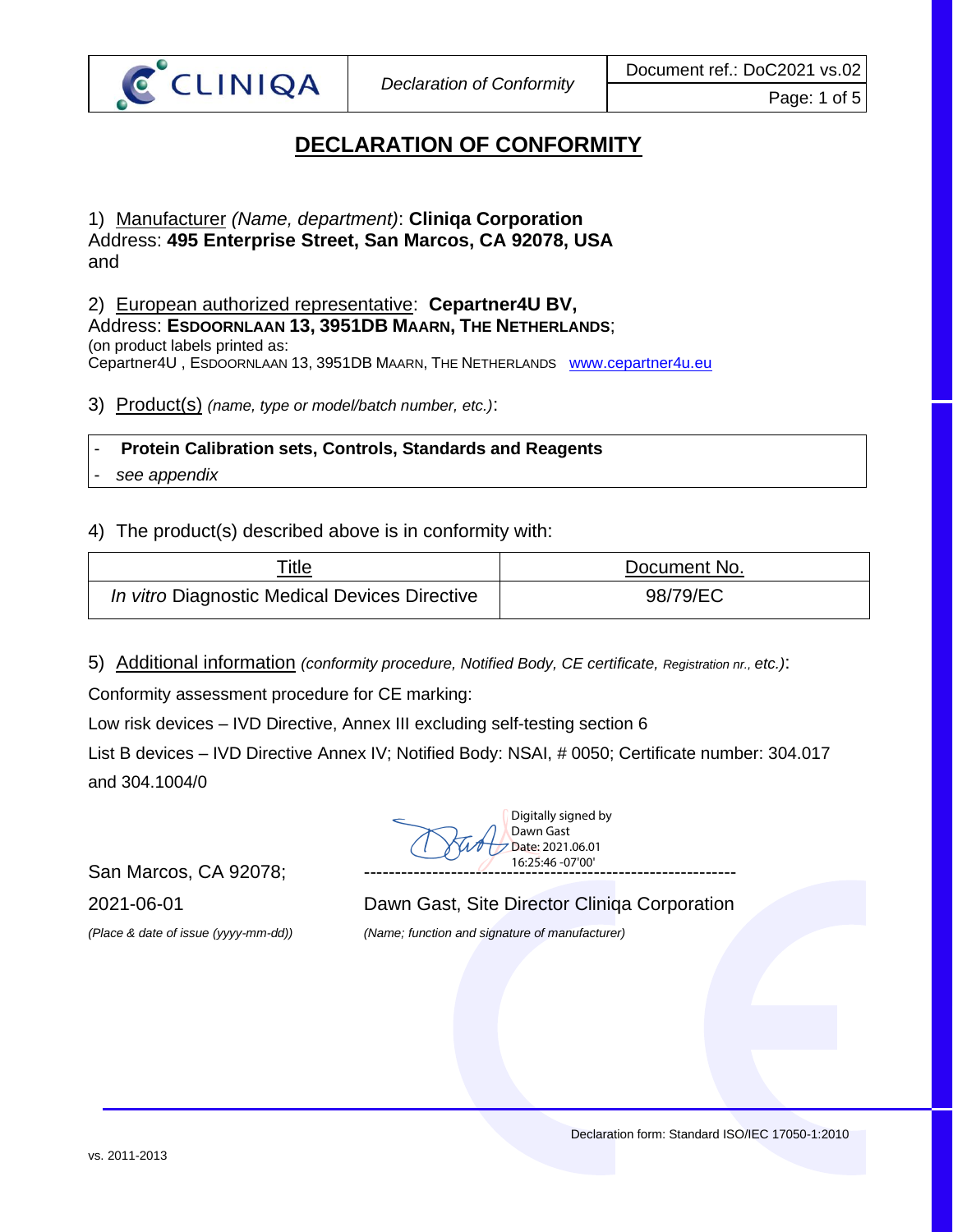*Declaration of Conformity*



Page: 1 of 5

### **DECLARATION OF CONFORMITY**

#### 1) Manufacturer *(Name, department)*: **Cliniqa Corporation** Address: **495 Enterprise Street, San Marcos, CA 92078, USA** and

2) European authorized representative: **Cepartner4U BV,** Address: **ESDOORNLAAN 13, 3951DB MAARN, THE NETHERLANDS**; (on product labels printed as: Cepartner4U , ESDOORNLAAN 13, 3951DB MAARN, THE NETHERLANDS [www.cepartner4u.eu](http://www.cepartner4u.eu/)

3) Product(s) *(name, type or model/batch number, etc.)*:

# - **Protein Calibration sets, Controls, Standards and Reagents**

- *see appendix*

### 4) The product(s) described above is in conformity with:

| <b>Title</b>                                  | Document No. |  |  |
|-----------------------------------------------|--------------|--|--|
| In vitro Diagnostic Medical Devices Directive | 98/79/EC     |  |  |

5) Additional information *(conformity procedure, Notified Body, CE certificate, Registration nr., etc.)*:

Conformity assessment procedure for CE marking:

Low risk devices – IVD Directive, Annex III excluding self-testing section 6

List B devices – IVD Directive Annex IV; Notified Body: NSAI, # 0050; Certificate number: 304.017 and 304.1004/0

Digitally signed by Dawn Gast Date: 2021.06.01 16:25:46 -07'00'

San Marcos, CA 92078;

2021-06-01 Dawn Gast, Site Director Cliniqa Corporation

*(Place & date of issue (yyyy-mm-dd)) (Name; function and signature of manufacturer)*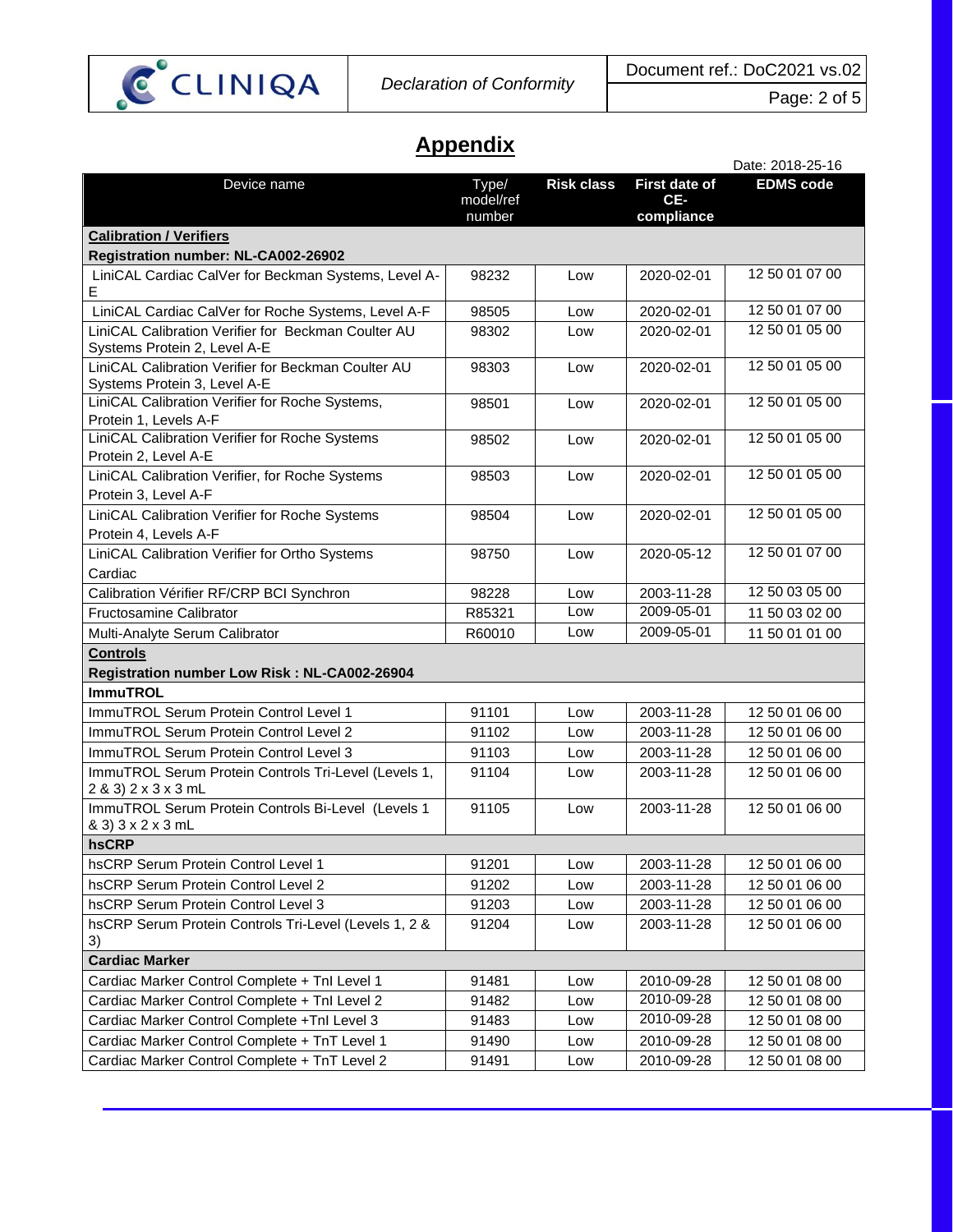

## **Appendix**

|                                                                                     |                              |                   |                                    | Date: 2018-25-16 |
|-------------------------------------------------------------------------------------|------------------------------|-------------------|------------------------------------|------------------|
| Device name                                                                         | Type/<br>model/ref<br>number | <b>Risk class</b> | First date of<br>CE-<br>compliance | <b>EDMS</b> code |
| <b>Calibration / Verifiers</b>                                                      |                              |                   |                                    |                  |
| Registration number: NL-CA002-26902                                                 |                              |                   |                                    |                  |
| LiniCAL Cardiac CalVer for Beckman Systems, Level A-<br>E.                          | 98232                        | Low               | 2020-02-01                         | 12 50 01 07 00   |
| LiniCAL Cardiac CalVer for Roche Systems, Level A-F                                 | 98505                        | Low               | 2020-02-01                         | 12 50 01 07 00   |
| LiniCAL Calibration Verifier for Beckman Coulter AU<br>Systems Protein 2, Level A-E | 98302                        | Low               | 2020-02-01                         | 12 50 01 05 00   |
| LiniCAL Calibration Verifier for Beckman Coulter AU<br>Systems Protein 3, Level A-E | 98303                        | Low               | 2020-02-01                         | 12 50 01 05 00   |
| LiniCAL Calibration Verifier for Roche Systems,<br>Protein 1, Levels A-F            | 98501                        | Low               | 2020-02-01                         | 12 50 01 05 00   |
| LiniCAL Calibration Verifier for Roche Systems<br>Protein 2, Level A-E              | 98502                        | Low               | 2020-02-01                         | 12 50 01 05 00   |
| LiniCAL Calibration Verifier, for Roche Systems<br>Protein 3, Level A-F             | 98503                        | Low               | 2020-02-01                         | 12 50 01 05 00   |
| LiniCAL Calibration Verifier for Roche Systems<br>Protein 4, Levels A-F             | 98504                        | Low               | 2020-02-01                         | 12 50 01 05 00   |
| LiniCAL Calibration Verifier for Ortho Systems<br>Cardiac                           | 98750                        | Low               | 2020-05-12                         | 12 50 01 07 00   |
| Calibration Vérifier RF/CRP BCI Synchron                                            | 98228                        | Low               | 2003-11-28                         | 12 50 03 05 00   |
| <b>Fructosamine Calibrator</b>                                                      | R85321                       | Low               | 2009-05-01                         | 11 50 03 02 00   |
| Multi-Analyte Serum Calibrator                                                      | R60010                       | Low               | 2009-05-01                         | 11 50 01 01 00   |
| <b>Controls</b><br>Registration number Low Risk: NL-CA002-26904                     |                              |                   |                                    |                  |
| <b>ImmuTROL</b>                                                                     |                              |                   |                                    |                  |
| ImmuTROL Serum Protein Control Level 1                                              | 91101                        | Low               | 2003-11-28                         | 12 50 01 06 00   |
| ImmuTROL Serum Protein Control Level 2                                              | 91102                        | Low               | 2003-11-28                         | 12 50 01 06 00   |
| ImmuTROL Serum Protein Control Level 3                                              | 91103                        | Low               | 2003-11-28                         | 12 50 01 06 00   |
| ImmuTROL Serum Protein Controls Tri-Level (Levels 1,<br>2 & 3) 2 x 3 x 3 mL         | 91104                        | Low               | 2003-11-28                         | 12 50 01 06 00   |
| ImmuTROL Serum Protein Controls Bi-Level (Levels 1<br>& 3) 3 x 2 x 3 mL             | 91105                        | Low               | 2003-11-28                         | 12 50 01 06 00   |
| hsCRP                                                                               |                              |                   |                                    |                  |
| hsCRP Serum Protein Control Level 1                                                 | 91201                        | Low               | 2003-11-28                         | 12 50 01 06 00   |
| hsCRP Serum Protein Control Level 2                                                 | 91202                        | Low               | 2003-11-28                         | 12 50 01 06 00   |
| hsCRP Serum Protein Control Level 3                                                 | 91203                        | Low               | 2003-11-28                         | 12 50 01 06 00   |
| hsCRP Serum Protein Controls Tri-Level (Levels 1, 2 &<br>3)                         | 91204                        | Low               | 2003-11-28                         | 12 50 01 06 00   |
| <b>Cardiac Marker</b>                                                               |                              |                   |                                    |                  |
| Cardiac Marker Control Complete + Tnl Level 1                                       | 91481                        | Low               | 2010-09-28                         | 12 50 01 08 00   |
| Cardiac Marker Control Complete + Tnl Level 2                                       | 91482                        | Low               | 2010-09-28                         | 12 50 01 08 00   |
| Cardiac Marker Control Complete +Tnl Level 3                                        | 91483                        | Low               | 2010-09-28                         | 12 50 01 08 00   |
| Cardiac Marker Control Complete + TnT Level 1                                       | 91490                        | Low               | 2010-09-28                         | 12 50 01 08 00   |
| Cardiac Marker Control Complete + TnT Level 2                                       | 91491                        | Low               | 2010-09-28                         | 12 50 01 08 00   |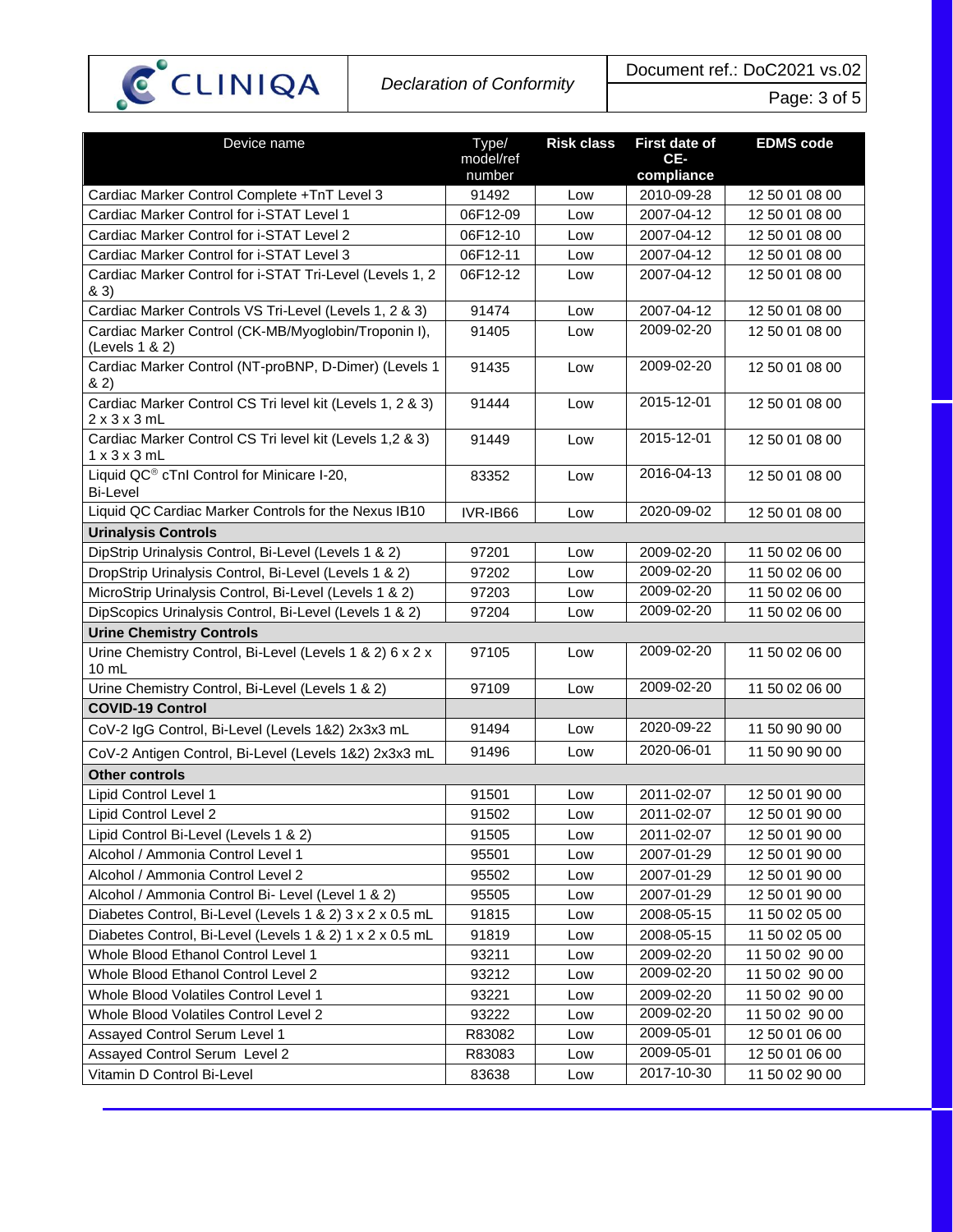

*Declaration of Conformity*

Document ref.: DoC2021 vs.02

Page: 3 of 5

| Device name                                                                           | Type/     | <b>Risk class</b> | <b>First date of</b>     | <b>EDMS</b> code                 |
|---------------------------------------------------------------------------------------|-----------|-------------------|--------------------------|----------------------------------|
|                                                                                       | model/ref |                   | CE-                      |                                  |
|                                                                                       | number    |                   | compliance               |                                  |
| Cardiac Marker Control Complete +TnT Level 3                                          | 91492     | Low               | 2010-09-28               | 12 50 01 08 00                   |
| Cardiac Marker Control for i-STAT Level 1                                             | 06F12-09  | Low               | 2007-04-12               | 12 50 01 08 00                   |
| Cardiac Marker Control for i-STAT Level 2                                             | 06F12-10  | Low               | 2007-04-12               | 12 50 01 08 00                   |
| Cardiac Marker Control for i-STAT Level 3                                             | 06F12-11  | Low               | 2007-04-12               | 12 50 01 08 00                   |
| Cardiac Marker Control for i-STAT Tri-Level (Levels 1, 2<br>& 3)                      | 06F12-12  | Low               | 2007-04-12               | 12 50 01 08 00                   |
| Cardiac Marker Controls VS Tri-Level (Levels 1, 2 & 3)                                | 91474     | Low               | 2007-04-12               | 12 50 01 08 00                   |
| Cardiac Marker Control (CK-MB/Myoglobin/Troponin I),<br>(Levels 1 & 2)                | 91405     | Low               | 2009-02-20               | 12 50 01 08 00                   |
| Cardiac Marker Control (NT-proBNP, D-Dimer) (Levels 1<br>82)                          | 91435     | Low               | 2009-02-20               | 12 50 01 08 00                   |
| Cardiac Marker Control CS Tri level kit (Levels 1, 2 & 3)<br>$2 \times 3 \times 3$ mL | 91444     | Low               | 2015-12-01               | 12 50 01 08 00                   |
| Cardiac Marker Control CS Tri level kit (Levels 1,2 & 3)<br>$1 \times 3 \times 3$ mL  | 91449     | Low               | 2015-12-01               | 12 50 01 08 00                   |
| Liquid QC® cTnI Control for Minicare I-20,<br><b>Bi-Level</b>                         | 83352     | Low               | 2016-04-13               | 12 50 01 08 00                   |
| Liquid QC Cardiac Marker Controls for the Nexus IB10                                  | IVR-IB66  | Low               | 2020-09-02               | 12 50 01 08 00                   |
| <b>Urinalysis Controls</b>                                                            |           |                   |                          |                                  |
| DipStrip Urinalysis Control, Bi-Level (Levels 1 & 2)                                  | 97201     | Low               | 2009-02-20               | 11 50 02 06 00                   |
| DropStrip Urinalysis Control, Bi-Level (Levels 1 & 2)                                 | 97202     | Low               | 2009-02-20               | 11 50 02 06 00                   |
| MicroStrip Urinalysis Control, Bi-Level (Levels 1 & 2)                                | 97203     | Low               | 2009-02-20               | 11 50 02 06 00                   |
| DipScopics Urinalysis Control, Bi-Level (Levels 1 & 2)                                | 97204     | Low               | 2009-02-20               | 11 50 02 06 00                   |
| <b>Urine Chemistry Controls</b>                                                       |           |                   |                          |                                  |
| Urine Chemistry Control, Bi-Level (Levels 1 & 2) 6 x 2 x<br>$10 \, \text{m}$          | 97105     | Low               | 2009-02-20               | 11 50 02 06 00                   |
| Urine Chemistry Control, Bi-Level (Levels 1 & 2)                                      | 97109     | Low               | 2009-02-20               | 11 50 02 06 00                   |
| <b>COVID-19 Control</b>                                                               |           |                   |                          |                                  |
| CoV-2 IgG Control, Bi-Level (Levels 1&2) 2x3x3 mL                                     | 91494     | Low               | 2020-09-22               | 11 50 90 90 00                   |
| CoV-2 Antigen Control, Bi-Level (Levels 1&2) 2x3x3 mL                                 | 91496     | Low               | 2020-06-01               | 11 50 90 90 00                   |
| <b>Other controls</b>                                                                 |           |                   |                          |                                  |
| Lipid Control Level 1                                                                 | 91501     |                   | 2011-02-07               | 12 50 01 90 00                   |
| Lipid Control Level 2                                                                 | 91502     | Low<br>Low        | 2011-02-07               | 12 50 01 90 00                   |
|                                                                                       |           |                   |                          |                                  |
| Lipid Control Bi-Level (Levels 1 & 2)<br>Alcohol / Ammonia Control Level 1            | 91505     | Low               | 2011-02-07               | 12 50 01 90 00                   |
| Alcohol / Ammonia Control Level 2                                                     | 95501     | Low               | 2007-01-29<br>2007-01-29 | 12 50 01 90 00<br>12 50 01 90 00 |
|                                                                                       | 95502     | Low               |                          |                                  |
| Alcohol / Ammonia Control Bi- Level (Level 1 & 2)                                     | 95505     | Low               | 2007-01-29               | 12 50 01 90 00                   |
| Diabetes Control, Bi-Level (Levels 1 & 2) 3 x 2 x 0.5 mL                              | 91815     | Low               | 2008-05-15               | 11 50 02 05 00                   |
| Diabetes Control, Bi-Level (Levels 1 & 2) 1 x 2 x 0.5 mL                              | 91819     | Low               | 2008-05-15               | 11 50 02 05 00                   |
| Whole Blood Ethanol Control Level 1                                                   | 93211     | Low               | 2009-02-20               | 11 50 02 90 00                   |
| Whole Blood Ethanol Control Level 2                                                   | 93212     | Low               | 2009-02-20               | 11 50 02 90 00                   |
| Whole Blood Volatiles Control Level 1                                                 | 93221     | Low               | 2009-02-20               | 11 50 02 90 00                   |
| Whole Blood Volatiles Control Level 2                                                 | 93222     | Low               | 2009-02-20               | 11 50 02 90 00                   |
| Assayed Control Serum Level 1                                                         | R83082    | Low               | 2009-05-01               | 12 50 01 06 00                   |
| Assayed Control Serum Level 2                                                         | R83083    | Low               | 2009-05-01               | 12 50 01 06 00                   |
| Vitamin D Control Bi-Level                                                            | 83638     | Low               | 2017-10-30               | 11 50 02 90 00                   |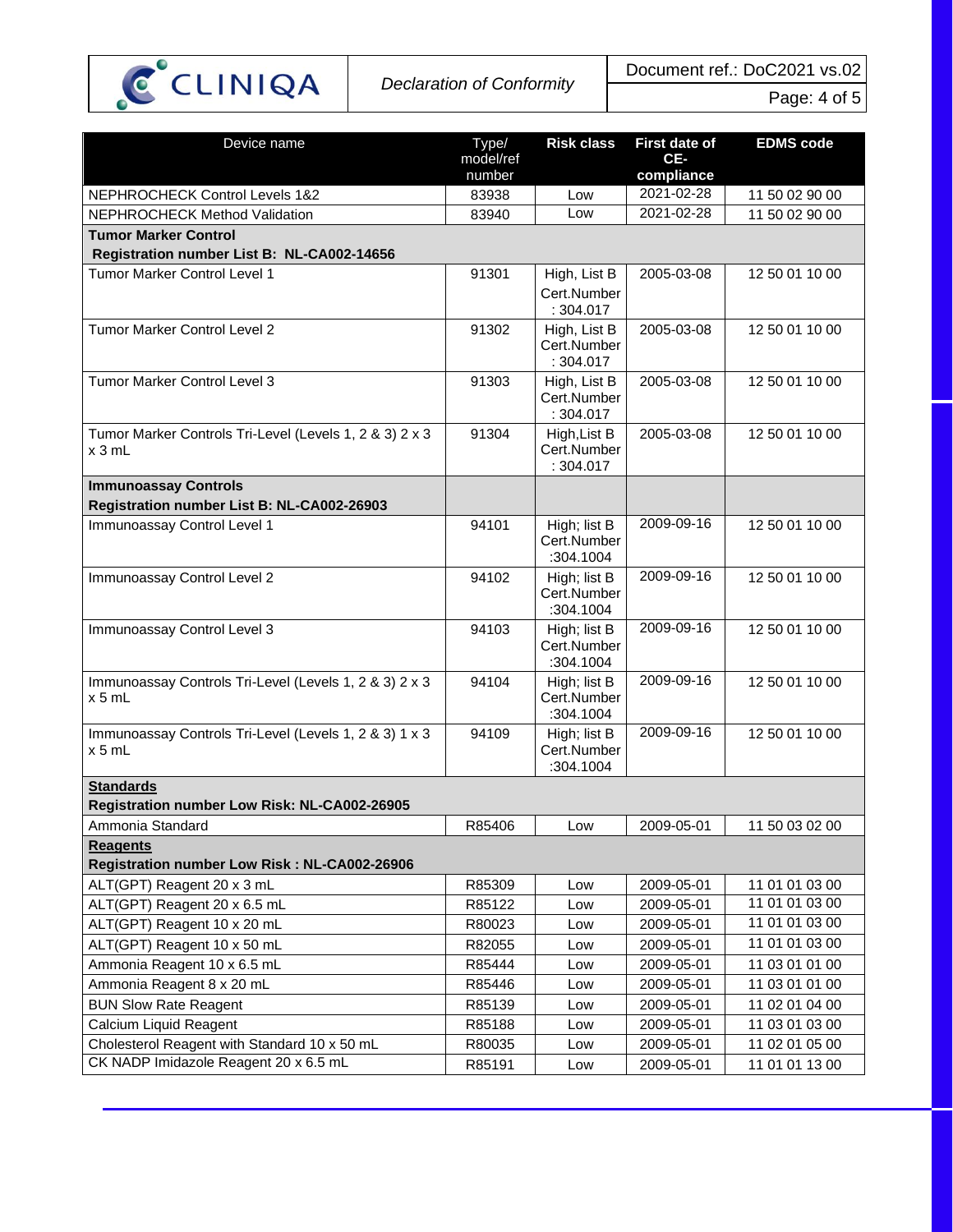

Page: 4 of 5

| Device name                                                         | Type/               | <b>Risk class</b>           | <b>First date of</b> | <b>EDMS</b> code |  |
|---------------------------------------------------------------------|---------------------|-----------------------------|----------------------|------------------|--|
|                                                                     | model/ref<br>number |                             | CE-<br>compliance    |                  |  |
| <b>NEPHROCHECK Control Levels 1&amp;2</b>                           | 83938               | Low                         | 2021-02-28           | 11 50 02 90 00   |  |
| <b>NEPHROCHECK Method Validation</b>                                | 83940               | Low                         | 2021-02-28           | 11 50 02 90 00   |  |
| <b>Tumor Marker Control</b>                                         |                     |                             |                      |                  |  |
| Registration number List B: NL-CA002-14656                          |                     |                             |                      |                  |  |
| Tumor Marker Control Level 1                                        | 91301               | High, List B                | 2005-03-08           | 12 50 01 10 00   |  |
|                                                                     |                     | Cert.Number                 |                      |                  |  |
|                                                                     |                     | : 304.017                   |                      |                  |  |
| Tumor Marker Control Level 2                                        | 91302               | High, List B<br>Cert.Number | 2005-03-08           | 12 50 01 10 00   |  |
|                                                                     |                     | :304.017                    |                      |                  |  |
| Tumor Marker Control Level 3                                        | 91303               | High, List B                | 2005-03-08           | 12 50 01 10 00   |  |
|                                                                     |                     | Cert.Number                 |                      |                  |  |
|                                                                     |                     | :304.017                    |                      |                  |  |
| Tumor Marker Controls Tri-Level (Levels 1, 2 & 3) 2 x 3<br>$x 3$ mL | 91304               | High, List B<br>Cert.Number | 2005-03-08           | 12 50 01 10 00   |  |
|                                                                     |                     | : 304.017                   |                      |                  |  |
| <b>Immunoassay Controls</b>                                         |                     |                             |                      |                  |  |
| Registration number List B: NL-CA002-26903                          |                     |                             |                      |                  |  |
| Immunoassay Control Level 1                                         | 94101               | High; list B                | 2009-09-16           | 12 50 01 10 00   |  |
|                                                                     |                     | Cert.Number<br>:304.1004    |                      |                  |  |
| Immunoassay Control Level 2                                         | 94102               | High; list B                | 2009-09-16           | 12 50 01 10 00   |  |
|                                                                     |                     | Cert.Number                 |                      |                  |  |
|                                                                     |                     | :304.1004                   |                      |                  |  |
| Immunoassay Control Level 3                                         | 94103               | High; list B                | 2009-09-16           | 12 50 01 10 00   |  |
|                                                                     |                     | Cert.Number<br>:304.1004    |                      |                  |  |
| Immunoassay Controls Tri-Level (Levels 1, 2 & 3) 2 x 3              | 94104               | High; list B                | 2009-09-16           | 12 50 01 10 00   |  |
| $x 5$ mL                                                            |                     | Cert.Number                 |                      |                  |  |
|                                                                     |                     | :304.1004                   |                      |                  |  |
| Immunoassay Controls Tri-Level (Levels 1, 2 & 3) 1 x 3              | 94109               | High; list B                | 2009-09-16           | 12 50 01 10 00   |  |
| $x 5$ mL                                                            |                     | Cert.Number<br>:304.1004    |                      |                  |  |
| <b>Standards</b>                                                    |                     |                             |                      |                  |  |
| Registration number Low Risk: NL-CA002-26905                        |                     |                             |                      |                  |  |
| Ammonia Standard                                                    | R85406              | Low                         | 2009-05-01           | 11 50 03 02 00   |  |
| <b>Reagents</b>                                                     |                     |                             |                      |                  |  |
| Registration number Low Risk: NL-CA002-26906                        |                     |                             |                      |                  |  |
| ALT(GPT) Reagent 20 x 3 mL                                          | R85309              | Low                         | 2009-05-01           | 11 01 01 03 00   |  |
| ALT(GPT) Reagent 20 x 6.5 mL                                        | R85122              | Low                         | 2009-05-01           | 11 01 01 03 00   |  |
| ALT(GPT) Reagent 10 x 20 mL                                         | R80023              | Low                         | 2009-05-01           | 11 01 01 03 00   |  |
| ALT(GPT) Reagent 10 x 50 mL                                         | R82055              | Low                         | 2009-05-01           | 11 01 01 03 00   |  |
| Ammonia Reagent 10 x 6.5 mL                                         | R85444              | Low                         | 2009-05-01           | 11 03 01 01 00   |  |
| Ammonia Reagent 8 x 20 mL                                           | R85446              | Low                         | 2009-05-01           | 11 03 01 01 00   |  |
| <b>BUN Slow Rate Reagent</b>                                        | R85139              | Low                         | 2009-05-01           | 11 02 01 04 00   |  |
| Calcium Liquid Reagent                                              | R85188              | Low                         | 2009-05-01           | 11 03 01 03 00   |  |
| Cholesterol Reagent with Standard 10 x 50 mL                        | R80035              | Low                         | 2009-05-01           | 11 02 01 05 00   |  |
| CK NADP Imidazole Reagent 20 x 6.5 mL                               | R85191              | Low                         | 2009-05-01           | 11 01 01 13 00   |  |